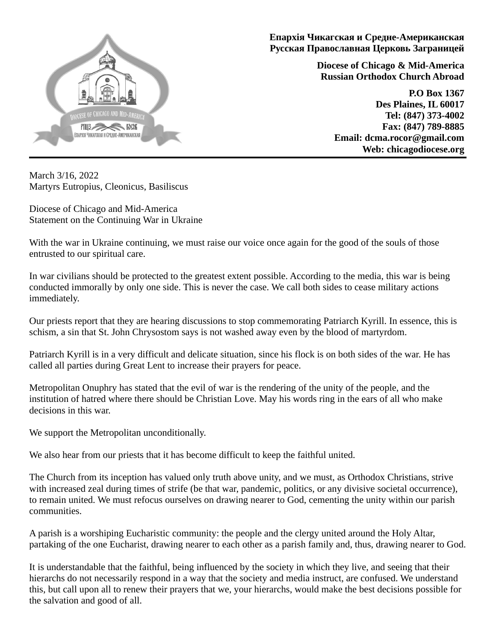

**Епархiя Чикагская и Средне-Американская Русская Православная Церковь Заграницей**

> **Diocese of Chicago & Mid-America Russian Orthodox Church Abroad**

> > **P.O Box 1367 Des Plaines, IL 60017 Tel: (847) 373-4002 Fax: (847) 789-8885 Email: dcma.rocor@gmail.com Web: chicagodiocese.org**

March 3/16, 2022 Martyrs Eutropius, Cleonicus, Basiliscus

Diocese of Chicago and Mid-America Statement on the Continuing War in Ukraine

With the war in Ukraine continuing, we must raise our voice once again for the good of the souls of those entrusted to our spiritual care.

In war civilians should be protected to the greatest extent possible. According to the media, this war is being conducted immorally by only one side. This is never the case. We call both sides to cease military actions immediately.

Our priests report that they are hearing discussions to stop commemorating Patriarch Kyrill. In essence, this is schism, a sin that St. John Chrysostom says is not washed away even by the blood of martyrdom.

Patriarch Kyrill is in a very difficult and delicate situation, since his flock is on both sides of the war. He has called all parties during Great Lent to increase their prayers for peace.

Metropolitan Onuphry has stated that the evil of war is the rendering of the unity of the people, and the institution of hatred where there should be Christian Love. May his words ring in the ears of all who make decisions in this war.

We support the Metropolitan unconditionally.

We also hear from our priests that it has become difficult to keep the faithful united.

The Church from its inception has valued only truth above unity, and we must, as Orthodox Christians, strive with increased zeal during times of strife (be that war, pandemic, politics, or any divisive societal occurrence), to remain united. We must refocus ourselves on drawing nearer to God, cementing the unity within our parish communities.

A parish is a worshiping Eucharistic community: the people and the clergy united around the Holy Altar, partaking of the one Eucharist, drawing nearer to each other as a parish family and, thus, drawing nearer to God.

It is understandable that the faithful, being influenced by the society in which they live, and seeing that their hierarchs do not necessarily respond in a way that the society and media instruct, are confused. We understand this, but call upon all to renew their prayers that we, your hierarchs, would make the best decisions possible for the salvation and good of all.